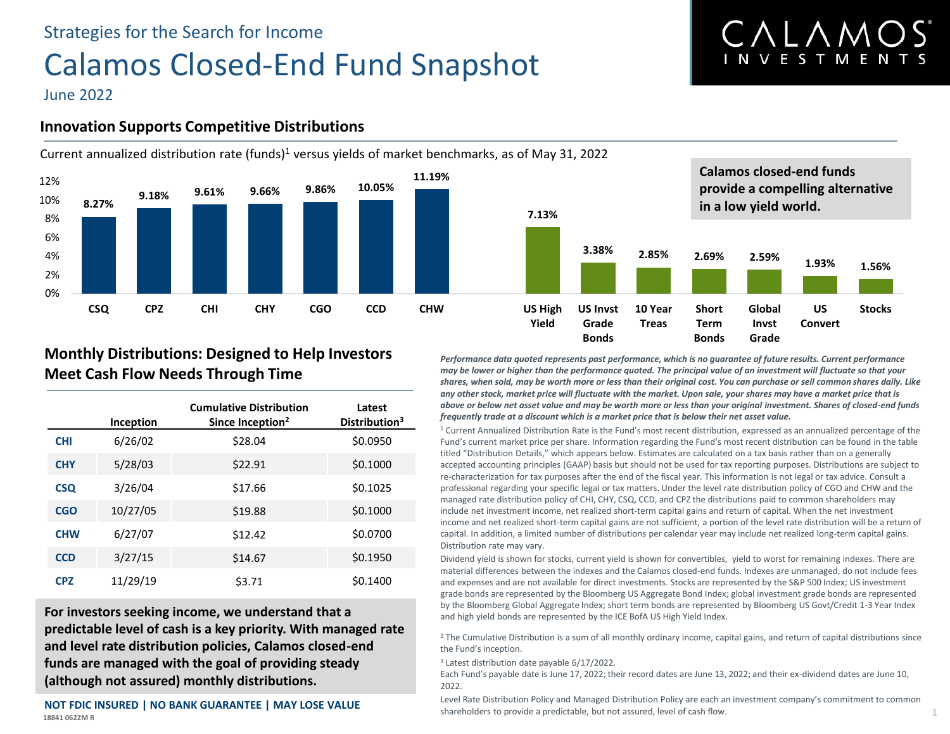# Strategies for the Search for Income Calamos Closed-End Fund Snapshot

# CALAMO **INVESTMENTS**

June 2022

# **Innovation Supports Competitive Distributions**



# **Monthly Distributions: Designed to Help Investors Meet Cash Flow Needs Through Time**

|            | Inception | <b>Cumulative Distribution</b><br>Since Inception <sup>2</sup> | Latest<br>Distribution <sup>3</sup> |
|------------|-----------|----------------------------------------------------------------|-------------------------------------|
| <b>CHI</b> | 6/26/02   | \$28.04                                                        | \$0.0950                            |
| <b>CHY</b> | 5/28/03   | \$22.91                                                        | \$0.1000                            |
| <b>CSQ</b> | 3/26/04   | \$17.66                                                        | \$0.1025                            |
| <b>CGO</b> | 10/27/05  | \$19.88                                                        | \$0.1000                            |
| <b>CHW</b> | 6/27/07   | \$12.42                                                        | \$0.0700                            |
| <b>CCD</b> | 3/27/15   | \$14.67                                                        | \$0.1950                            |
| <b>CPZ</b> | 11/29/19  | \$3.71                                                         | \$0.1400                            |

**For investors seeking income, we understand that a predictable level of cash is a key priority. With managed rate and level rate distribution policies, Calamos closed-end funds are managed with the goal of providing steady (although not assured) monthly distributions.** 

**18841 0622M R NOT FDIC INSURED | NO BANK GUARANTEE | MAY LOSE VALUE** *Performance data quoted represents past performance, which is no guarantee of future results. Current performance may be lower or higher than the performance quoted. The principal value of an investment will fluctuate so that your shares, when sold, may be worth more or less than their original cost. You can purchase or sell common shares daily. Like any other stock, market price will fluctuate with the market. Upon sale, your shares may have a market price that is above or below net asset value and may be worth more or less than your original investment. Shares of closed-end funds frequently trade at a discount which is a market price that is below their net asset value.* 

<sup>1</sup> Current Annualized Distribution Rate is the Fund's most recent distribution, expressed as an annualized percentage of the Fund's current market price per share. Information regarding the Fund's most recent distribution can be found in the table titled "Distribution Details," which appears below. Estimates are calculated on a tax basis rather than on a generally accepted accounting principles (GAAP) basis but should not be used for tax reporting purposes. Distributions are subject to re-characterization for tax purposes after the end of the fiscal year. This information is not legal or tax advice. Consult a professional regarding your specific legal or tax matters. Under the level rate distribution policy of CGO and CHW and the managed rate distribution policy of CHI, CHY, CSQ, CCD, and CPZ the distributions paid to common shareholders may include net investment income, net realized short-term capital gains and return of capital. When the net investment income and net realized short-term capital gains are not sufficient, a portion of the level rate distribution will be a return of capital. In addition, a limited number of distributions per calendar year may include net realized long-term capital gains. Distribution rate may vary.

Dividend yield is shown for stocks, current yield is shown for convertibles, yield to worst for remaining indexes. There are material differences between the indexes and the Calamos closed-end funds. Indexes are unmanaged, do not include fees and expenses and are not available for direct investments. Stocks are represented by the S&P 500 Index; US investment grade bonds are represented by the Bloomberg US Aggregate Bond Index; global investment grade bonds are represented by the Bloomberg Global Aggregate Index; short term bonds are represented by Bloomberg US Govt/Credit 1-3 Year Index and high yield bonds are represented by the ICE BofA US High Yield Index.

<sup>2</sup> The Cumulative Distribution is a sum of all monthly ordinary income, capital gains, and return of capital distributions since the Fund's inception.

<sup>3</sup> Latest distribution date payable 6/17/2022.

Each Fund's payable date is June 17, 2022; their record dates are June 13, 2022; and their ex-dividend dates are June 10, 2022.

Level Rate Distribution Policy and Managed Distribution Policy are each an investment company's commitment to common shareholders to provide a predictable, but not assured, level of cash flow. **1**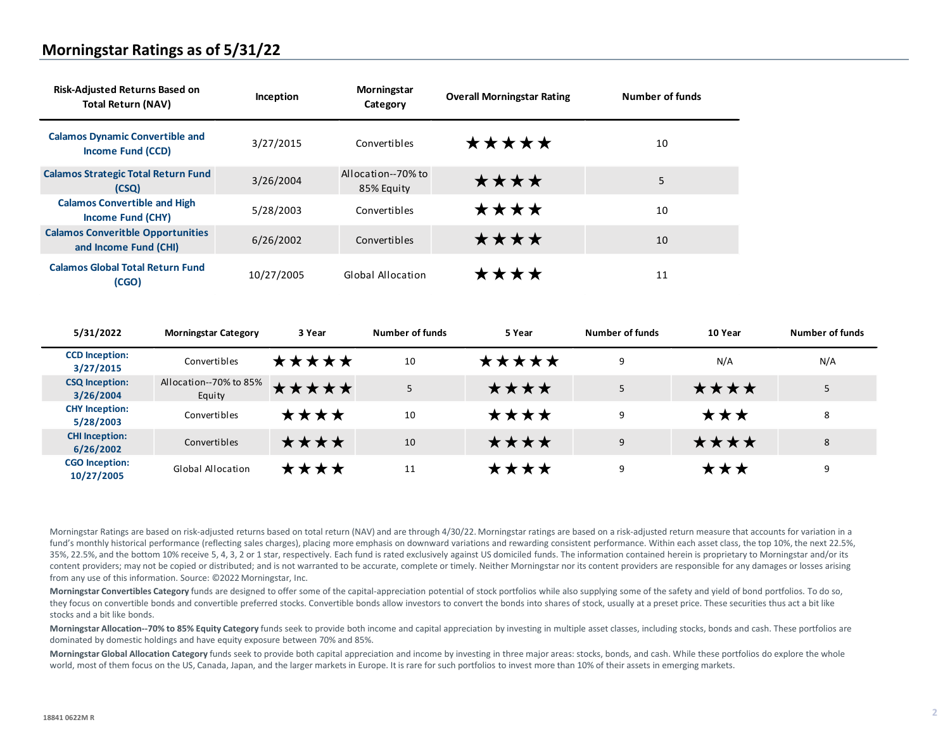## **Morningstar Ratings as of 5/31/22**

| <b>Risk-Adjusted Returns Based on</b><br><b>Total Return (NAV)</b> | Inception  | Morningstar<br>Category          | <b>Overall Morningstar Rating</b> | Number of funds |
|--------------------------------------------------------------------|------------|----------------------------------|-----------------------------------|-----------------|
| <b>Calamos Dynamic Convertible and</b><br>Income Fund (CCD)        | 3/27/2015  | Convertibles                     | *****                             | 10              |
| <b>Calamos Strategic Total Return Fund</b><br>(CSO)                | 3/26/2004  | Allocation--70% to<br>85% Equity | ****                              | 5               |
| <b>Calamos Convertible and High</b><br>Income Fund (CHY)           | 5/28/2003  | Convertibles                     | ****                              | 10              |
| <b>Calamos Converitble Opportunities</b><br>and Income Fund (CHI)  | 6/26/2002  | Convertibles                     | ****                              | 10              |
| <b>Calamos Global Total Return Fund</b><br>(CGO)                   | 10/27/2005 | Global Allocation                | ****                              | 11              |

| 5/31/2022                           | <b>Morningstar Category</b>      | 3 Year | Number of funds | 5 Year | Number of funds | 10 Year | Number of funds |
|-------------------------------------|----------------------------------|--------|-----------------|--------|-----------------|---------|-----------------|
| <b>CCD</b> Inception:<br>3/27/2015  | Convertibles                     | ★★★★★  | 10              | *****  | 9               | N/A     | N/A             |
| <b>CSQ Inception:</b><br>3/26/2004  | Allocation--70% to 85%<br>Equity | *****  | 5               | ★★★★   | 5               | ****    |                 |
| <b>CHY Inception:</b><br>5/28/2003  | Convertibles                     | ★★★★   | 10              | ****   | 9               | ***     | 8               |
| <b>CHI Inception:</b><br>6/26/2002  | Convertibles                     | ****   | 10              | ****   | 9               | ****    | 8               |
| <b>CGO</b> Inception:<br>10/27/2005 | <b>Global Allocation</b>         | ★★★★   | 11              | ★★★★   | 9               | ★★★     | 9               |

Morningstar Ratings are based on risk-adjusted returns based on total return (NAV) and are through 4/30/22. Morningstar ratings are based on a risk-adjusted return measure that accounts for variation in a fund's monthly historical performance (reflecting sales charges), placing more emphasis on downward variations and rewarding consistent performance. Within each asset class, the top 10%, the next 22.5%, 35%, 22.5%, and the bottom 10% receive 5, 4, 3, 2 or 1 star, respectively. Each fund is rated exclusively against US domiciled funds. The information contained herein is proprietary to Morningstar and/or its content providers; may not be copied or distributed; and is not warranted to be accurate, complete or timely. Neither Morningstar nor its content providers are responsible for any damages or losses arising from any use of this information. Source: ©2022 Morningstar, Inc.

**Morningstar Convertibles Category** funds are designed to offer some of the capital-appreciation potential of stock portfolios while also supplying some of the safety and yield of bond portfolios. To do so, they focus on convertible bonds and convertible preferred stocks. Convertible bonds allow investors to convert the bonds into shares of stock, usually at a preset price. These securities thus act a bit like stocks and a bit like bonds.

**Morningstar Allocation--70% to 85% Equity Category** funds seek to provide both income and capital appreciation by investing in multiple asset classes, including stocks, bonds and cash. These portfolios are dominated by domestic holdings and have equity exposure between 70% and 85%.

**Morningstar Global Allocation Category** funds seek to provide both capital appreciation and income by investing in three major areas: stocks, bonds, and cash. While these portfolios do explore the whole world, most of them focus on the US, Canada, Japan, and the larger markets in Europe. It is rare for such portfolios to invest more than 10% of their assets in emerging markets.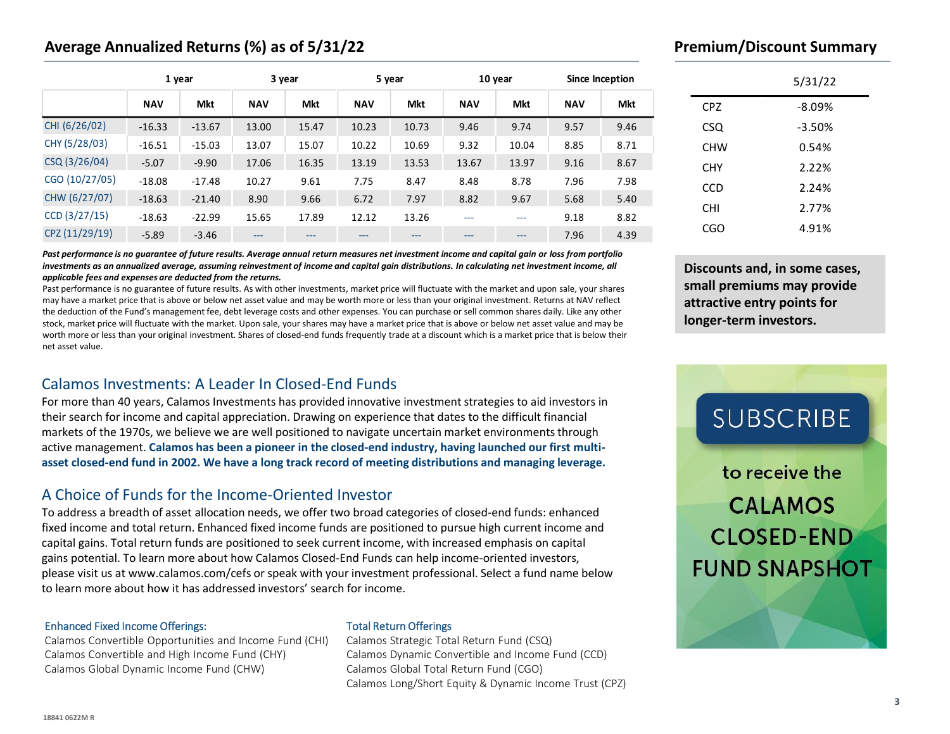# **Average Annualized Returns (%) as of 5/31/22**

|                 |            | 1 year   |            | 3 year |            | 5 year     |            | 10 year    |            | Since Inception |
|-----------------|------------|----------|------------|--------|------------|------------|------------|------------|------------|-----------------|
|                 | <b>NAV</b> | Mkt      | <b>NAV</b> | Mkt    | <b>NAV</b> | <b>Mkt</b> | <b>NAV</b> | <b>Mkt</b> | <b>NAV</b> | <b>Mkt</b>      |
| CHI (6/26/02)   | $-16.33$   | $-13.67$ | 13.00      | 15.47  | 10.23      | 10.73      | 9.46       | 9.74       | 9.57       | 9.46            |
| CHY (5/28/03)   | $-16.51$   | $-15.03$ | 13.07      | 15.07  | 10.22      | 10.69      | 9.32       | 10.04      | 8.85       | 8.71            |
| CSQ (3/26/04)   | $-5.07$    | $-9.90$  | 17.06      | 16.35  | 13.19      | 13.53      | 13.67      | 13.97      | 9.16       | 8.67            |
| CGO (10/27/05)  | $-18.08$   | $-17.48$ | 10.27      | 9.61   | 7.75       | 8.47       | 8.48       | 8.78       | 7.96       | 7.98            |
| CHW (6/27/07)   | $-18.63$   | $-21.40$ | 8.90       | 9.66   | 6.72       | 7.97       | 8.82       | 9.67       | 5.68       | 5.40            |
| $CCD$ (3/27/15) | $-18.63$   | $-22.99$ | 15.65      | 17.89  | 12.12      | 13.26      | ---        | ---        | 9.18       | 8.82            |
| CPZ (11/29/19)  | $-5.89$    | $-3.46$  | $---$      | $---$  | ---        | ---        | $---$      | $---$      | 7.96       | 4.39            |

*Past performance is no guarantee of future results. Average annual return measures net investment income and capital gain or loss from portfolio investments as an annualized average, assuming reinvestment of income and capital gain distributions. In calculating net investment income, all applicable fees and expenses are deducted from the returns.*

Past performance is no guarantee of future results. As with other investments, market price will fluctuate with the market and upon sale, your shares may have a market price that is above or below net asset value and may be worth more or less than your original investment. Returns at NAV reflect the deduction of the Fund's management fee, debt leverage costs and other expenses. You can purchase or sell common shares daily. Like any other stock, market price will fluctuate with the market. Upon sale, your shares may have a market price that is above or below net asset value and may be worth more or less than your original investment. Shares of closed-end funds frequently trade at a discount which is a market price that is below their net asset value.

# Calamos Investments: A Leader In Closed-End Funds

For more than 40 years, Calamos Investments has provided innovative investment strategies to aid investors in their search for income and capital appreciation. Drawing on experience that dates to the difficult financial markets of the 1970s, we believe we are well positioned to navigate uncertain market environments through active management. **Calamos has been a pioneer in the closed-end industry, having launched our first multiasset closed-end fund in 2002. We have a long track record of meeting distributions and managing leverage.**

### A Choice of Funds for the Income-Oriented Investor

To address a breadth of asset allocation needs, we offer two broad categories of closed-end funds: enhanced fixed income and total return. Enhanced fixed income funds are positioned to pursue high current income and capital gains. Total return funds are positioned to seek current income, with increased emphasis on capital gains potential. To learn more about how Calamos Closed-End Funds can help income-oriented investors, please visit us at www.calamos.com/cefs or speak with your investment professional. Select a fund name below to learn more about how it has addressed investors' search for income.

#### Enhanced Fixed Income Offerings:

Calamos Convertible Opportunities and Income Fund (CHI) Calamos Convertible and High Income Fund (CHY) Calamos Global Dynamic Income Fund (CHW)

### Total Return Offerings

Calamos Strategic Total Return Fund (CSQ) Calamos Dynamic Convertible and Income Fund (CCD) Calamos Global Total Return Fund (CGO) Calamos Long/Short Equity & Dynamic Income Trust (CPZ)

## **Premium/Discount Summary**

|            | 5/31/22     |
|------------|-------------|
| <b>CPZ</b> | $-8.09%$    |
| <b>CSQ</b> | $-3.50%$    |
| <b>CHW</b> | 0.54%       |
| CHY        | 2.22%       |
| CCD        | 2.24%       |
| СHІ        | 2.77%       |
| CGO        | 4.91%<br>a, |

**Discounts and, in some cases, small premiums may provide attractive entry points for longer-term investors.**

# **SUBSCRIBE**

to receive the **CALAMOS CLOSED-END FUND SNAPSHOT**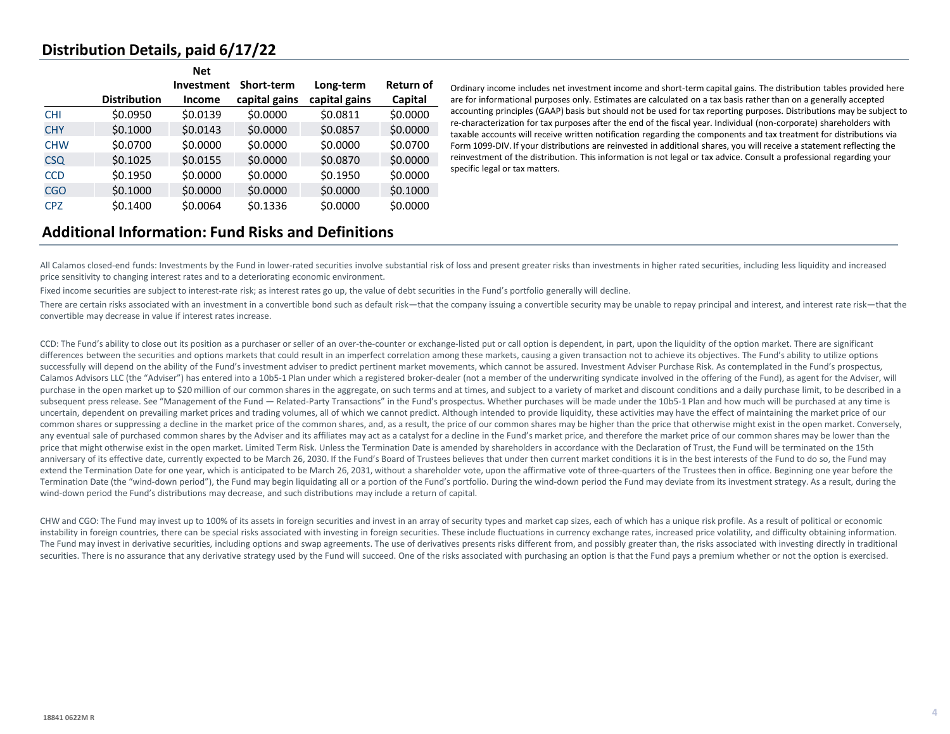## **Distribution Details, paid 6/17/22**

|            |                     | <b>Net</b> |                   |               |                  |
|------------|---------------------|------------|-------------------|---------------|------------------|
|            |                     | Investment | <b>Short-term</b> | Long-term     | <b>Return of</b> |
|            | <b>Distribution</b> | Income     | capital gains     | capital gains | Capital          |
| <b>CHI</b> | \$0.0950            | \$0.0139   | \$0.0000          | \$0.0811      | \$0.0000         |
| <b>CHY</b> | \$0.1000            | \$0.0143   | \$0.0000          | \$0.0857      | \$0.0000         |
| <b>CHW</b> | \$0.0700            | \$0.0000   | \$0.0000          | \$0.0000      | \$0.0700         |
| <b>CSQ</b> | \$0.1025            | \$0.0155   | \$0.0000          | \$0.0870      | \$0.0000         |
| <b>CCD</b> | \$0.1950            | \$0.0000   | \$0.0000          | \$0.1950      | \$0.0000         |
| <b>CGO</b> | \$0.1000            | \$0.0000   | \$0.0000          | \$0.0000      | \$0.1000         |
| <b>CPZ</b> | \$0.1400            | \$0.0064   | \$0.1336          | \$0.0000      | \$0.0000         |

Ordinary income includes net investment income and short-term capital gains. The distribution tables provided here are for informational purposes only. Estimates are calculated on a tax basis rather than on a generally accepted accounting principles (GAAP) basis but should not be used for tax reporting purposes. Distributions may be subject to re-characterization for tax purposes after the end of the fiscal year. Individual (non-corporate) shareholders with taxable accounts will receive written notification regarding the components and tax treatment for distributions via Form 1099-DIV. If your distributions are reinvested in additional shares, you will receive a statement reflecting the reinvestment of the distribution. This information is not legal or tax advice. Consult a professional regarding your specific legal or tax matters.

# **Additional Information: Fund Risks and Definitions**

All Calamos closed-end funds: Investments by the Fund in lower-rated securities involve substantial risk of loss and present greater risks than investments in higher rated securities, including less liquidity and increased price sensitivity to changing interest rates and to a deteriorating economic environment.

Fixed income securities are subject to interest-rate risk; as interest rates go up, the value of debt securities in the Fund's portfolio generally will decline.

There are certain risks associated with an investment in a convertible bond such as default risk—that the company issuing a convertible security may be unable to repay principal and interest, and interest rate risk—that th convertible may decrease in value if interest rates increase.

CCD: The Fund's ability to close out its position as a purchaser or seller of an over-the-counter or exchange-listed put or call option is dependent, in part, upon the liquidity of the option market. There are significant differences between the securities and options markets that could result in an imperfect correlation among these markets, causing a given transaction not to achieve its objectives. The Fund's ability to utilize options successfully will depend on the ability of the Fund's investment adviser to predict pertinent market movements, which cannot be assured. Investment Adviser Purchase Risk. As contemplated in the Fund's prospectus, Calamos Advisors LLC (the "Adviser") has entered into a 10b5-1 Plan under which a registered broker-dealer (not a member of the underwriting syndicate involved in the offering of the Fund), as agent for the Adviser, will purchase in the open market up to \$20 million of our common shares in the aggregate, on such terms and at times, and subject to a variety of market and discount conditions and a daily purchase limit, to be described in a subsequent press release. See "Management of the Fund — Related-Party Transactions" in the Fund's prospectus. Whether purchases will be made under the 10b5-1 Plan and how much will be purchased at any time is uncertain, dependent on prevailing market prices and trading volumes, all of which we cannot predict. Although intended to provide liquidity, these activities may have the effect of maintaining the market price of our common shares or suppressing a decline in the market price of the common shares, and, as a result, the price of our common shares may be higher than the price that otherwise might exist in the open market. Conversely, any eventual sale of purchased common shares by the Adviser and its affiliates may act as a catalyst for a decline in the Fund's market price, and therefore the market price of our common shares may be lower than the price that might otherwise exist in the open market. Limited Term Risk. Unless the Termination Date is amended by shareholders in accordance with the Declaration of Trust, the Fund will be terminated on the 15th anniversary of its effective date, currently expected to be March 26, 2030. If the Fund's Board of Trustees believes that under then current market conditions it is in the best interests of the Fund to do so, the Fund may extend the Termination Date for one year, which is anticipated to be March 26, 2031, without a shareholder vote, upon the affirmative vote of three-quarters of the Trustees then in office. Beginning one year before the Termination Date (the "wind-down period"), the Fund may begin liquidating all or a portion of the Fund's portfolio. During the wind-down period the Fund may deviate from its investment strategy. As a result, during the wind-down period the Fund's distributions may decrease, and such distributions may include a return of capital.

CHW and CGO: The Fund may invest up to 100% of its assets in foreign securities and invest in an array of security types and market cap sizes, each of which has a unique risk profile. As a result of political or economic instability in foreign countries, there can be special risks associated with investing in foreign securities. These include fluctuations in currency exchange rates, increased price volatility, and difficulty obtaining info The Fund may invest in derivative securities, including options and swap agreements. The use of derivatives presents risks different from, and possibly greater than, the risks associated with investing directly in traditio securities. There is no assurance that any derivative strategy used by the Fund will succeed. One of the risks associated with purchasing an option is that the Fund pays a premium whether or not the option is exercised.